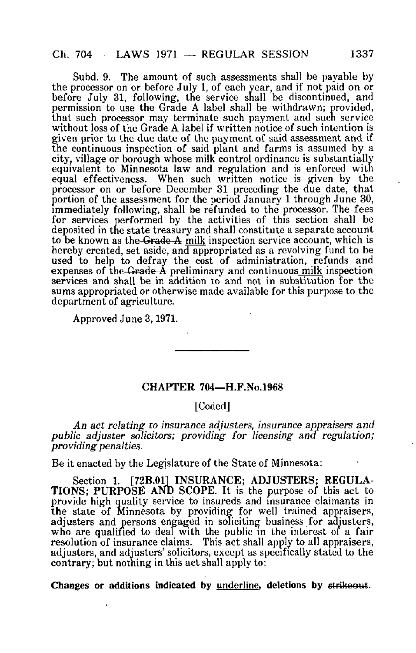Subd. 9. The amount of such assessments shall be payable by the processor on or before July 1, of each year, and if not paid on or before July 31, following, the service shall be discontinued, and permission to use the Grade A label shall be withdrawn; provided, that such processor may terminate such payment and such service without loss of the Grade A label if written notice of such intention is given prior to the due date of the payment of said assessment and if the continuous inspection of said plant and farms is assumed by a city, village or borough whose milk control ordinance is substantially equivalent to Minnesota law and regulation and is enforced with equal effectiveness. When such written notice is given by the processor on or before December 31 preceding the due date, that portion of the assessment for the period January 1 through June 30, immediately following, shall be refunded to the processor. The fees for services performed by the activities of this section shall be deposited in the state treasury and shall constitute a separate account to be known as the Grade A milk inspection service account, which is hereby created, set aside, and appropriated as a revolving fund to be used to help to defray the cost of administration, refunds and expenses of the Grade  $\tilde{A}$  preliminary and continuous milk inspection services and shall be in addition to and not in substitution for the sums appropriated or otherwise made available for this purpose to the department of agriculture.

Approved June 3,1971.

## CHAPTER 704—H.F.No.1968

## [Coded]

An act relating to insurance adjusters, insurance appraisers and public adjuster solicitors; providing for licensing and regulation; providing penalties.

Be it enacted by the Legislature of the State of Minnesota:

Section 1. [72B.01] INSURANCE; ADJUSTERS; REGULA-TIONS; PURPOSE AND SCOPE. It is the purpose of this act to provide high quality service to insureds and insurance claimants in the state of Minnesota by providing for well trained appraisers, adjusters and persons engaged in soliciting business for adjusters, who are qualified to deal with the public in the interest of a fair resolution of insurance claims. This act shall apply to all appraisers, adjusters, and adjusters' solicitors, except as specifically stated to the contrary; but nothing in this act shall apply to: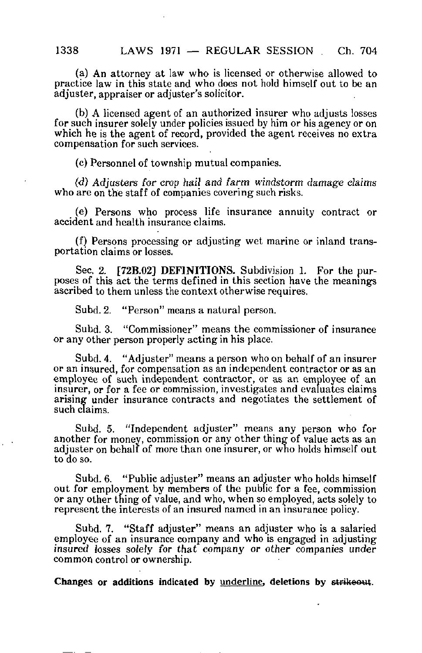(a) An attorney at law who is licensed or otherwise allowed to practice law in this state and who does not hold himself out to be an adjuster, appraiser or adjuster's solicitor.

(b) A licensed agent of an authorized insurer who adjusts losses for such insurer solely under policies issued by him or his agency or on which he is the agent of record, provided the agent receives no extra compensation for such services.

(c) Personnel of township mutual companies.

(d) Adjusters for crop hail and farm windstorm damage claims who are on the staff of companies covering such risks.

(e) Persons who process life insurance annuity contract or accident and health insurance claims.

(f) Persons processing or adjusting wet marine or inland transportation claims or losses.

Sec. 2. [72B.02] DEFINITIONS. Subdivision 1. For the purposes of this act the terms defined in this section have the meanings ascribed to them unless the context otherwise requires,

Subd. 2. "Person" means a natural person.

Subd. 3. "Commissioner" means the commissioner of insurance or any other person properly acting in his place.

Subd. 4. "Adjuster" means a person who on behalf of an insurer or an insured, for compensation as an independent contractor or as an employee of such independent contractor, or as an employee of an insurer, or for a fee or commission, investigates and evaluates claims arising under insurance contracts and negotiates the settlement of such claims.

Subd. 5. "Independent adjuster" means any person who for another for money, commission or any other thing of value acts as an adjuster on behalf of more than one insurer, or who holds himself out to do so.

Subd. 6. "Public adjuster" means an adjuster who holds himself out for employment by members of the public for a fee, commission or any other thing of value, and who, when so employed, acts solely to represent the interests of an insured named in an insurance policy.

Subd. 7. "Staff adjuster" means an adjuster who is a salaried employee of an insurance company and who is engaged in adjusting insured losses solely for that company or other companies under common control or ownership.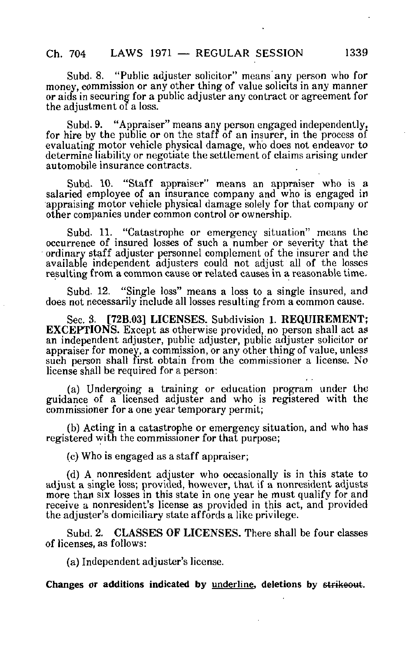Subd. 8. "Public adjuster solicitor" means any person who for money, commission or any other thing of value solicits in any manner or aids in securing for a public adjuster any contract or agreement for the adjustment of a loss.

Subd. 9. "Appraiser" means any person engaged independently, for hire by the public or on the staff of an insurer, in the process of evaluating motor vehicle physical damage, who does not endeavor to determine liability or negotiate the settlement of claims arising under automobile insurance contracts.

Subd- 10. "Staff appraiser" means an appraiser who is a salaried employee of an insurance company and who is engaged in appraising motor vehicle physical damage solely for that company or other companies under common control or ownership.

Subd. 11. "Catastrophe or emergency situation" means the occurrence of insured losses of such a number or severity that the ordinary staff adjuster personnel complement of the insurer and the available independent adjusters could not adjust all of the losses resulting from a common cause or related causes in a reasonable time,

Subd. 12. "Single loss" means a loss to a single insured, and does not necessarily include all losses resulting from a common cause.

Sec. 3. [72B.03] LICENSES. Subdivision 1. REQUIREMENT; EXCEPTIONS. Except as otherwise provided, no person shall act as an independent adjuster, public adjuster, public adjuster solicitor or appraiser for money, a commission, or any other thing of value, unless such person shall first obtain from the commissioner a license. No license shall be required for a person:

(a) Undergoing a training or education program under the guidance of a licensed adjuster and who is registered with the commissioner for a one year temporary permit;

(b) Acting in a catastrophe or emergency situation, and who has registered with the commissioner for that purpose;

(c) Who is engaged as a staff appraiser;

(d) A nonresident adjuster who occasionally is in this state to adjust a single loss; provided, however, that if a nonresident adjusts more than six losses in this state in one year he must qualify for and receive a nonresident's license as provided in this act, and provided the adjuster's domiciliary state affords a like privilege.

Subd. 2. CLASSES OF LICENSES. There shall be four classes of licenses, as follows:

(a) Independent adjuster's license.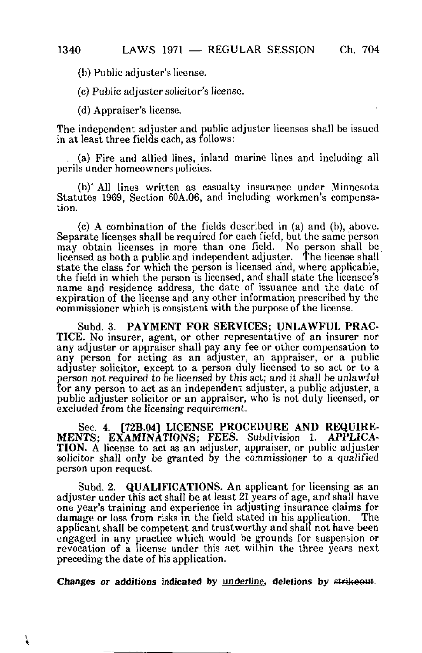(b) Public adjuster's license.

(c) Public adjuster solicitor's license.

(d) Appraiser's license.

The independent adjuster and public adjuster licenses shall be issued in at least three fields each, as follows:

. (a) Fire and allied lines, inland marine lines and including all perils under homeowners policies.

(b)' All lines written as casualty insurance under Minnesota Statutes 1969, Section 60A.06, and including workmen's compensation.

(c) A combination of the fields described in (a) and (b), above. Separate licenses shall be required for each field, but the same person may obtain licenses in more than one field. No person shall be licensed as both a public and independent adjuster. The license shall state the class for which the person is licensed and, where applicable, the field in which the person is licensed, and shall state the licensee's name and residence address, the date of issuance and the date of expiration of the license and any other information prescribed by the commissioner which is consistent with the purpose of the license.

Subd. 3. PAYMENT FOR SERVICES; UNLAWFUL PRAC-TICE. No insurer, agent, or other representative of an insurer nor any adjuster or appraiser shall pay any fee or other compensation to any person for acting as an adjuster, an appraiser, or a public adjuster solicitor, except to a person duly licensed to so act or to a person not required to be licensed by this act; and it shall be unlawful for any person to act as an independent adjuster, a public adjuster, a public adjuster solicitor or an appraiser, who is not duly licensed, or excluded from the licensing requirement.

Sec. 4. [72B.04] LICENSE PROCEDURE AND REQUIRE-MENTS; EXAMINATIONS; FEES. Subdivision 1. APPLICA-TION. A license to act as an adjuster, appraiser, or public adjuster solicitor shall only be granted by the commissioner to a qualified person upon request.

Subd. 2. **QUALIFICATIONS.** An applicant for licensing as an adjuster under this act shall be at least 21 years of age, and shall have one year's training and experience in adjusting insurance claims for damage or loss from risks in the field stated in his application. The damage or loss from risks in the field stated in his application. applicant shall be competent and trustworthy and shall not have been engaged in any practice which would be grounds for suspension or revocation of a license under this act within the three years next preceding the date of his application.

Changes or additions indicated by underline, deletions by strikeout.

¥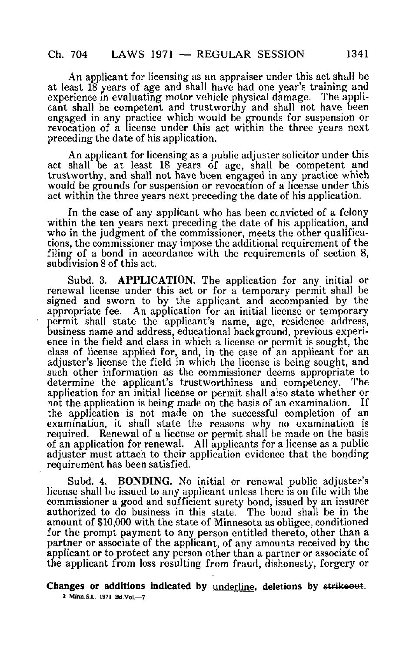An applicant for licensing as an appraiser under this act shall be at least 18 years of age and shall have had one year's training and experience in evaluating motor vehicle physical damage. The applicant shall be competent and trustworthy and shall not have been engaged in any practice which would be grounds for suspension or revocation of a license under this act within the three years next preceding the date of his application.

An applicant for licensing as a public adjuster solicitor under this act shall be at least 18 years of age, shall be competent and trustworthy, and shall not have been engaged in any practice which would be grounds for suspension or revocation of a license under this act within the three years next preceding the date of his application.

In the case of any applicant who has been convicted of a felony within the ten years next preceding the date of his application, and who in the judgment of the commissioner, meets the other qualifications, the commissioner may impose the additional requirement of the filing of a bond in accordance with the requirements of section 8, subdivision 8 of this act.

Subd. 3. APPLICATION. The application for any initial or renewal license under this act or for a temporary permit shall be signed and sworn to by the applicant and accompanied by the appropriate fee. An application for an initial license or temporary permit shall state the applicant's name, age, residence address, business name and address, educational background, previous experience in the field and class in which a license or permit is sought, the class of license applied for, and, in the case of an applicant for an adjuster's license the field in which the license is being sought, and such other information as the commissioner deems appropriate to determine the applicant's trustworthiness and competency. The application for an initial license or permit shall also state whether or<br>not the application is being made on the basis of an examination. If not the application is being made on the basis of an examination. the application is not made on the successful completion of an examination, it shall state the reasons why no examination is required. Renewal of a license or permit shall be made on the basis of an application for renewal. All applicants for a license as a public adjuster must attach to their application evidence that the bonding requirement has been satisfied.

Subd. 4. BONDING. No initial or renewal public adjuster's license shall be issued to any applicant unless there is on file with the commissioner a good and sufficient surety bond, issued by an insurer authorized to do business in this state. The bond shall be in the amount of \$10,000 with the state of Minnesota as obligee, conditioned for the prompt payment to any person entitled thereto, other than a partner or associate of the applicant, of any amounts received by the applicant or to protect any person other than a partner or associate of the applicant from loss resulting from fraud, dishonesty, forgery or

Changes or additions indicated by underline, deletions by strikeout. 2 Mlnn.S.L 1971 Bd.Vol.—7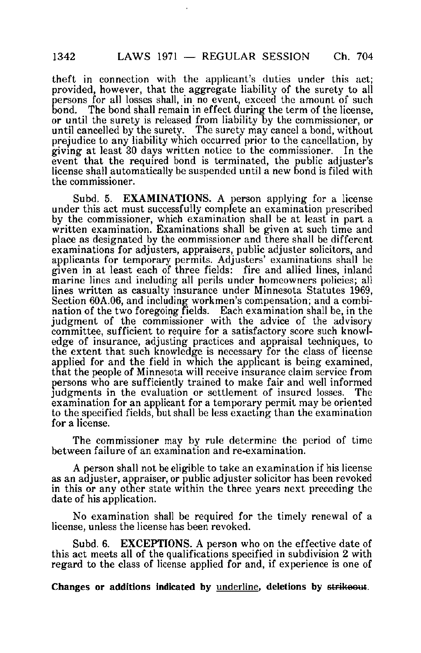theft in connection with the applicant's duties under this act; provided, however, that the aggregate liability of the surety to all persons for all losses shall, in no event, exceed the amount of such<br>bond. The bond shall remain in effect during the term of the license. The bond shall remain in effect during the term of the license, or until the surety is released from liability by the commissioner, or until cancelled by the surety. The surety may cancel a bond, without prejudice to any liability which occurred prior to the cancellation, by giving at least 30 days written notice to the commissioner. In the event that the required bond is terminated, the public adjuster's license shall automatically be suspended until a new bond is filed with the commissioner.

Subd. 5. **EXAMINATIONS.** A person applying for a license under this act must successfully complete an examination prescribed by the commissioner, which examination shall be at least in part a written examination. Examinations shall be given at such time and place as designated by the commissioner and there shall be different examinations for adjusters, appraisers, public adjuster solicitors, and applicants for temporary permits. Adjusters' examinations shall be given in at least each of three fields: fire and allied lines, inland marine lines and including all perils under homeowners policies; all lines written as casualty insurance under Minnesota Statutes 1969, Section 60A.06, and including workmen's compensation; and a combination of the two foregoing fields. Each examination shall be, in the judgment of the commissioner with the advice of the advisory committee, sufficient to require for a satisfactory score such knowledge of insurance, adjusting practices and appraisal techniques, to the extent that such knowledge is necessary for the class of license applied for and the field in which the applicant is being examined, that the people of Minnesota will receive insurance claim service from persons who are sufficiently trained to make fair and well informed judgments in the evaluation or settlement of insured losses. The examination for an applicant for a temporary permit may be oriented to the specified fields, out shall be less exacting than the examination for a license.

The commissioner may by rule determine the period of time between failure of an examination and re-examination.

A person shall not be eligible to take an examination if his license as an adjuster, appraiser, or public adjuster solicitor has been revoked in this or any other state within the three years next preceding the date of his application.

No examination shall be required for the timely renewal of a license, unless the license has been revoked.

Subd. 6. EXCEPTIONS. A person who on the effective date of this act meets all of the qualifications specified in subdivision 2 with regard to the class of license applied for and, if experience is one of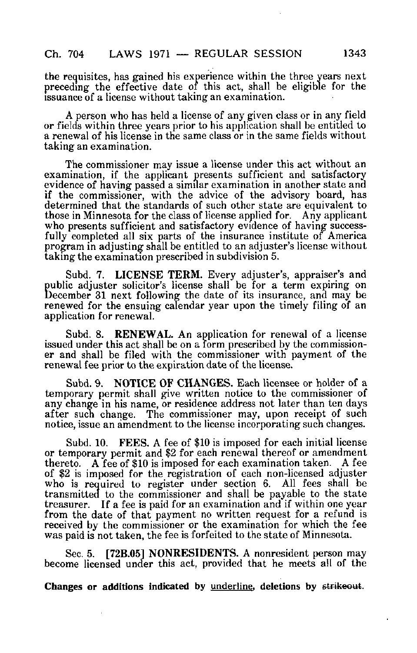the requisites, has gained his experience within the three years next preceding the effective date of this act, shall be eligible for the issuance of a license without taking an examination.

A person who has held a license of any given class or in any field or fields within three years prior to his application shall be entitled to a renewal of his license in the same class or in the same fields without taking an examination.

The commissioner may issue a license under this act without an examination, if the applicant presents sufficient and satisfactory evidence of having passed a similar examination in another state and if the commissioner, with the advice of the advisory board, has determined that the standards of such other state are equivalent to those in Minnesota for the class of license applied for. Any applicant those in Minnesota for the class of license applied for. who presents sufficient and satisfactory evidence of having successfully completed all six parts of the insurance institute of America program in adjusting shall be entitled to an adjuster's license without taking the examination prescribed in subdivision 5.

Subd. 7. LICENSE TERM. Every adjuster's, appraiser's and public adjuster solicitor's license shall be for a term expiring on December 31 next following the date of its insurance, and may be renewed for the ensuing calendar year upon the timely filing of an application for renewal.

Subd. 8. RENEWAL. An application for renewal of a license issued under this act shall be on a form prescribed by the commissioner and shall be filed with the commissioner with payment of the renewal fee prior to the expiration date of the license.

Subd. 9. NOTICE OF CHANGES. Each licensee or holder of a temporary permit shall give written notice to the commissioner of any change in his name, or residence address not later than ten days after such change. The commissioner may, upon receipt of such The commissioner may, upon receipt of such notice, issue an amendment to the license incorporating such changes.

Subd. 10. FEES. A fee of \$10 is imposed for each initial license or temporary permit and \$2 for each renewal thereof or amendment thereto. A fee of \$10 is imposed for each examination taken. A fee of \$2 is imposed for the registration of each non-licensed adjuster who is required to register under section 6. All fees shall be transmitted to the commissioner and shall be payable to the state treasurer. If a fee is paid for an examination and if within one year from the date of that payment no written request for a refund is received by the commissioner or the examination for which the fee was paid is not taken, the fee is forfeited to the state of Minnesota.

Sec. 5. [72B.05] NONRESIDENTS. A nonresident person may become licensed under this act, provided that he meets all of the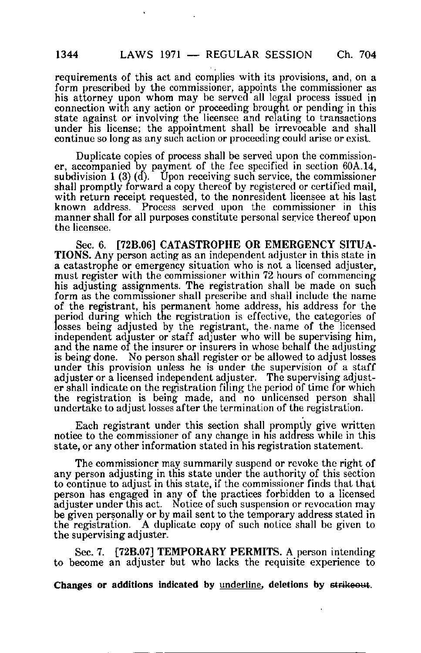requirements of this act and complies with its provisions, and, on a form prescribed by the commissioner, appoints the commissioner as his attorney upon whom may be served all legal process issued in connection with any action or proceeding brought or pending in this state against or involving the licensee and relating to transactions under his license; the appointment shall be irrevocable and shall continue so long as any such action or proceeding could arise or exist.

Duplicate copies of process shall be served upon the commissioner, accompanied by payment of the fee specified in section 60A.14, subdivision  $1(3)(d)$ . Upon receiving such service, the commissioner shall promptly forward a copy thereof by registered or certified mail, with return receipt requested, to the nonresident licensee at his last known address. Process served upon the commissioner in this manner shall for all purposes constitute personal service thereof upon the licensee.

Sec. 6. [72B.06] CATASTROPHE OR EMERGENCY SITUA-TIONS. Any person acting as an independent adjuster in this state in a catastrophe or emergency situation who is not a licensed adjuster, must register with the commissioner within 72 hours of commencing his adjusting assignments. The registration shall be made on such form as the commissioner shall prescribe and shall include the name of the registrant, his permanent home address, his address for the period during which the registration is effective, the categories of losses being adjusted by the registrant, the-name of the licensed independent adjuster or staff adjuster who will be supervising him, and the name of the insurer or insurers in whose behalf the adjusting is being done. No person shall register or be allowed to adjust losses under this provision unless he is under the supervision of a staff adjuster or a licensed independent adjuster. The supervising adjuster shall indicate on the registration filing the period of time for which the registration is being made, and no unlicensed person shall undertake to adjust losses after the termination of the registration.

Each registrant under this section shall promptly give written notice to the commissioner of any change in his address while in this state, or any other information stated in his registration statement.

The commissioner may summarily suspend or revoke the right of any person adjusting in this state under the authority of this section to continue to adjust in this state, if the commissioner finds that that person has engaged in any of the practices forbidden to a licensed adjuster under this act. Notice of such suspension or revocation may be given personally or by mail sent to the temporary address stated in the registration. A duplicate copy of such notice shall be given to the supervising adjuster.

Sec. 7. [72B.07J TEMPORARY PERMITS. A person intending to become an adjuster but who lacks the requisite experience to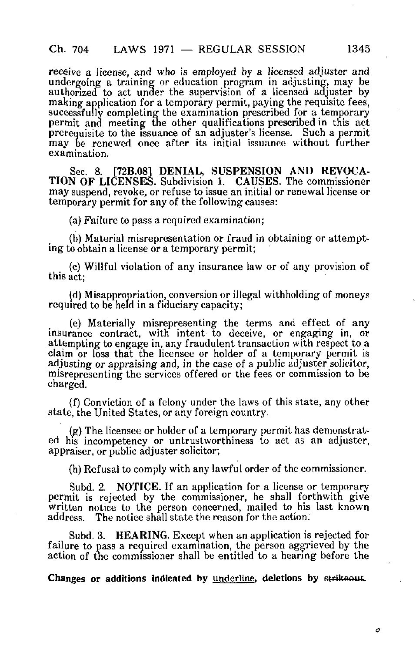receive a license, and who is employed by a licensed adjuster and undergoing a training or education program in adjusting, may be authorized to act under the supervision of a licensed adjuster by making application for a temporary permit, paying the requisite fees, successfully completing the examination prescribed for a temporary permit and meeting the other qualifications prescribed in this act prerequisite to the issuance of an adjuster's license. Such a permit may be renewed once after its initial issuance without further examination.

Sec. 8. [72B.08] DENIAL, SUSPENSION AND REVOCA-TION OF LICENSES. Subdivision 1. CAUSES. The commissioner may suspend, revoke, or refuse to issue an initial or renewal license or temporary permit for any of the following causes:

(a) Failure to pass a required examination;

(b) Material misrepresentation or fraud in obtaining or attempting to obtain a license or a temporary permit;

(c) Willful violation of any insurance law or of any provision of this act;

(d) Misappropriation, conversion or illegal withholding of moneys required to be held in a fiduciary capacity;

(e) Materially misrepresenting the terms and effect of any insurance contract, with intent to deceive, or engaging in, or attempting to engage in, any fraudulent transaction with respect to a claim or loss that the licensee or holder of a temporary permit is adjusting or appraising and, in the case of a public adjuster solicitor, misrepresenting the services offered or the fees or commission to be charged.

(f) Conviction of a felony under the laws of this state, any other state, the United States, or any foreign country.

(g) The licensee or holder of a temporary permit has demonstrated his incompetency or untrustworthiness to act as an adjuster, appraiser, or public adjuster solicitor;

(h) Refusal to comply with any lawful order of the commissioner.

Subd. 2. NOTICE. If an application for a license or temporary permit is rejected by the commissioner, he shall forthwith give written notice to the person concerned, mailed to his last known address. The notice shall state the reason for the action. The notice shall state the reason for the action.

Subd. 3. HEARING. Except when an application is rejected for failure to pass a required examination, the person aggrieved by the action of the commissioner shall be entitled to a hearing before the

Changes or additions indicated by underline, deletions by strikeout.

ο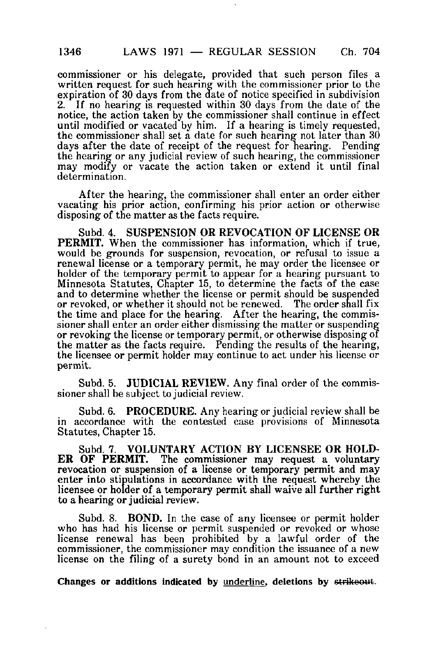commissioner or his delegate, provided that such person files a written request for such hearing with the commissioner prior to the expiration of 30 days from the date of notice specified in subdivision 2. If no hearing is requested within 30 days from the date of the If no hearing is requested within 30 days from the date of the notice, the action taken by the commissioner shall continue in effect until modified or vacated by him. If a hearing is timely requested, the commissioner shall set a date for such hearing not later than 30 days after the date of receipt of the request for hearing. Pending the hearing or any judicial review of such hearing, the commissioner may modify or vacate the action taken or extend it until final determination.

After the hearing, the commissioner shall enter an order either vacating his prior action, confirming his prior action or otherwise disposing of the matter as the facts require.

Subd. 4. SUSPENSION OR REVOCATION OF LICENSE OR PERMIT. When the commissioner has information, which if true, would be grounds for suspension, revocation, or refusal to issue a renewal license or a temporary permit, he may order the licensee or holder of the temporary permit to appear for a hearing pursuant to Minnesota Statutes, Chapter 15, to determine the facts of the case and to determine whether the license or permit should be suspended or revoked, or whether it should not be renewed. The order shall fix the time and place for the hearing. After the hearing, the commissioner shall enter an order either dismissing the matter or suspending or revoking the license or temporary permit, or otherwise disposing of the matter as the facts require. Pending the results of the hearing, the licensee or permit holder may continue to act under his license or permit.

Subd. 5. JUDICIAL REVIEW. Any final order of the commissioner shall be subject to judicial review.

Subd. 6. PROCEDURE. Any hearing or judicial review shall be in accordance with the contested case provisions of Minnesota Statutes, Chapter 15.

Subd. 7. VOLUNTARY ACTION BY LICENSEE OR HOLD-ER OF PERMIT. The commissioner may request a voluntary revocation or suspension of a license or temporary permit and may enter into stipulations in accordance with the request whereby the licensee or holder of a temporary permit shall waive all further right to a hearing or judicial review.

Subd. 8. **BOND.** In the case of any licensee or permit holder who has had his license or permit suspended or revoked or whose license renewal has been prohibited by a lawful order of the commissioner, the commissioner may condition the issuance of a new license on the filing of a surety bond in an amount not to exceed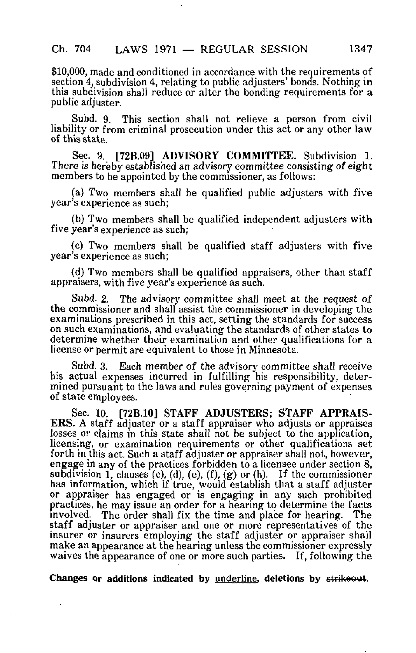\$10,000, made and conditioned in accordance with the requirements of section 4, subdivision 4, relating to public adjusters' bonds. Nothing in this subdivision shall reduce or alter the bonding requirements for a public adjuster.

Subd. 9. This section shall not relieve a person from civil liability or from criminal prosecution under this act or any other law of this state.

Sec. 9. [72B.09] ADVISORY COMMITTEE. Subdivision 1. There is hereby established an advisory committee consisting of eight members to be appointed by the commissioner, as follows:

(a) TWO members shall be qualified public adjusters with five year's experience as such;

(b) Two members shall be qualified independent adjusters with five year's experience as such;

(c) T\vo members shall be qualified staff adjusters with five year's experience as such;

(d) Two members shall be qualified appraisers, other than staff appraisers, with five year's experience as such.

Subd. 2. The advisory committee shall meet at the request of the commissioner and shall assist the commissioner in developing the examinations prescribed in this act, setting the standards for success on such examinations, and evaluating the standards of other states to determine whether their examination and other qualifications for a license or permit are equivalent to those in Minnesota.

Subd. 3. Each member of the advisory committee shall receive his actual expenses incurred in fulfilling his responsibility, determined pursuant to the laws and rules governing payment of expenses of state employees.

Sec. 10. [72B.10] STAFF ADJUSTERS; STAFF APPRAIS-ERS. A staff adjuster or a staff appraiser who adjusts or appraises losses or claims in this state shall not be subject to the application, licensing, or examination requirements or other qualifications set forth in this act. Such a staff adjuster or appraiser shall not, however, engage in any of the practices forbidden to a licensee under section 8, subdivision 1, clauses (c), (d), (e), (f), (g) or (h). If the commissioner has information, which if true, would establish that a staff adjuster or appraiser has engaged or is engaging in any such prohibited practices, he may issue an order for a hearing to determine the facts involved. The order shall fix the time and place for hearing. The staff adjuster or appraiser and one or more representatives of the insurer or insurers employing the staff adjuster or appraiser shall make an appearance at the hearing unless the commissioner expressly waives the appearance of one or more such parties. If, following the